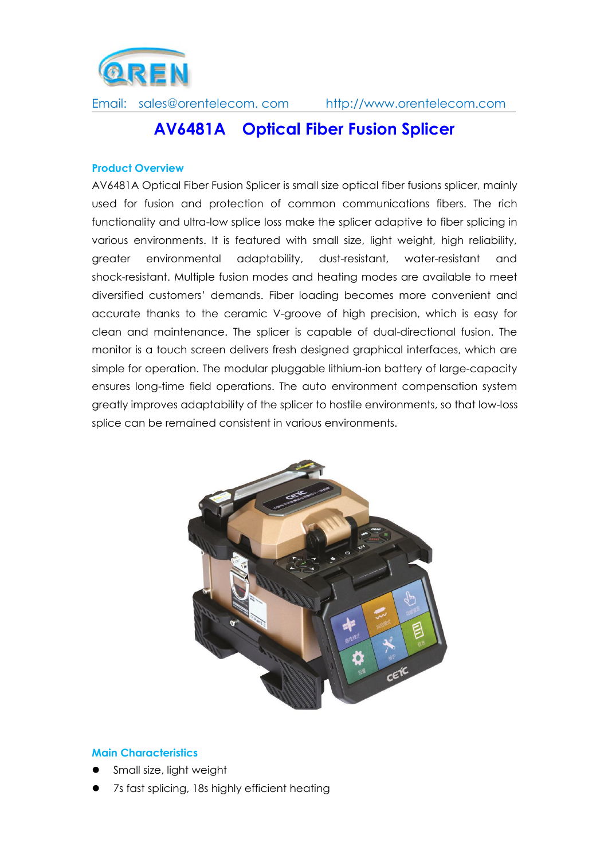

# **AV6481A Optical Fiber Fusion Splicer**

#### **Product Overview**

AV6481A Optical Fiber Fusion Splicer is small size optical fiber fusions splicer, mainly used for fusion and protection of common communications fibers. The rich functionality and ultra-low splice loss make the splicer adaptive to fiber splicing in various environments. It is featured with small size, light weight, high reliability, greater environmental adaptability, dust-resistant, water-resistant and shock-resistant. Multiple fusion modes and heating modes are available to meet diversified customers' demands. Fiber loading becomes more convenient and accurate thanks to the ceramic V-groove of high precision, which is easy for clean and maintenance. The splicer is capable of dual-directional fusion. The monitor is a touch screen delivers fresh designed graphical interfaces, which are simple for operation. The modular pluggable lithium-ion battery of large-capacity ensures long-time field operations. The auto environment compensation system greatly improves adaptability of the splicer to hostile environments, so that low-loss splice can be remained consistent in various environments.



#### **Main Characteristics**

- Small size, light weight
- 7s fast splicing, 18s highly efficient heating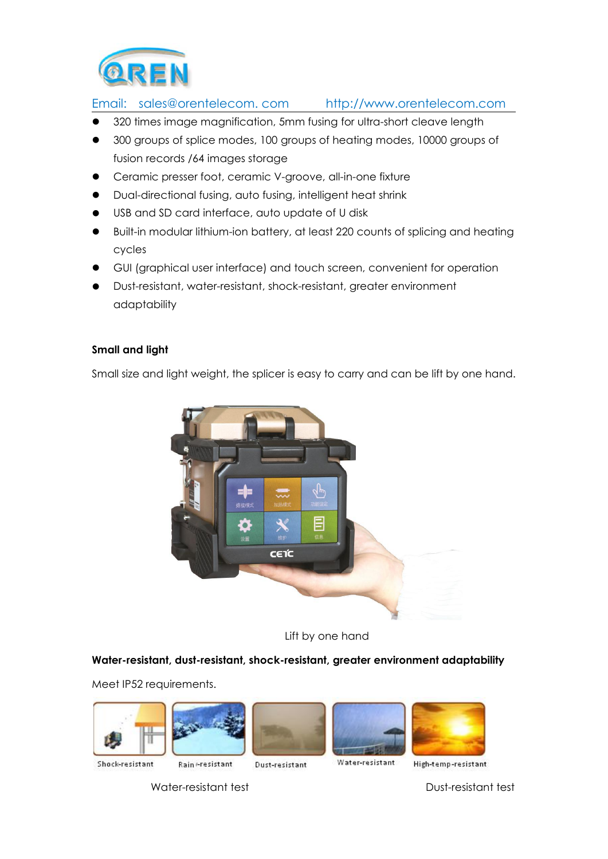

- 320 times image magnification, 5mm fusing for ultra-short cleave length
- 300 groups of splice modes, 100 groups of heating modes, 10000 groups of fusion records /64 images storage
- Ceramic presser foot, ceramic V-groove, all-in-one fixture
- Dual-directional fusing, auto fusing, intelligent heat shrink
- USB and SD card interface, auto update of U disk
- Built-in modular lithium-ion battery, at least 220 counts of splicing and heating cycles
- GUI (graphical user interface) and touch screen, convenient for operation
- Dust-resistant, water-resistant, shock-resistant, greater environment adaptability

#### **Small and light**

Small size and light weight, the splicer is easy to carry and can be lift by one hand.



Lift by one hand

#### **Water-resistant, dust-resistant, shock-resistant, greater environment adaptability**

Meet IP52 requirements.











Shock-resistant

Rain -resistant

Dust-resistant

Water-resistant High-temp-resistant

Water-resistant test **Dust-Resistant test**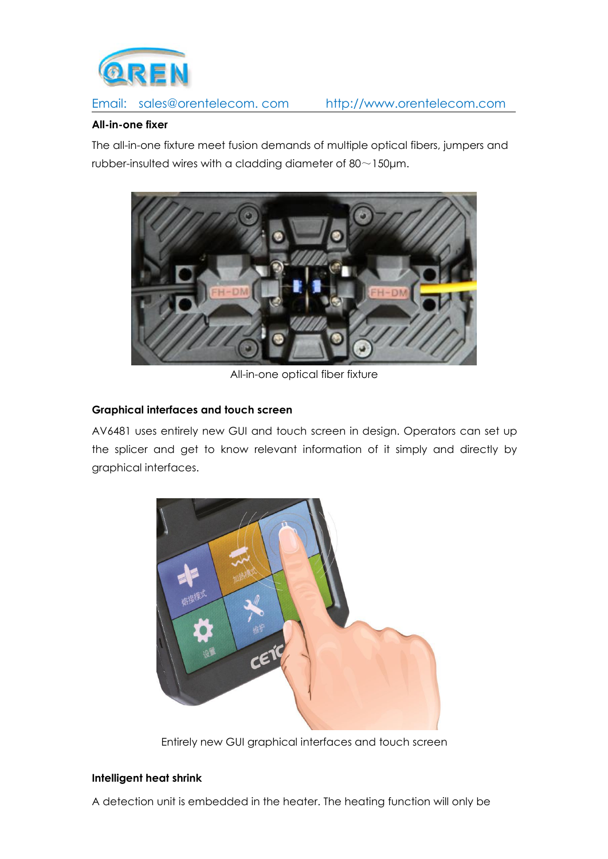

## **All-in-one fixer**

The all-in-one fixture meet fusion demands of multiple optical fibers, jumpers and rubber-insulted wires with a cladding diameter of  $80 \sim 150 \mu m$ .



All-in-one optical fiber fixture

## **Graphical interfaces and touch screen**

AV6481 uses entirely new GUI and touch screen in design. Operators can set up the splicer and get to know relevant information of it simply and directly by graphical interfaces.



Entirely new GUI graphical interfaces and touch screen

## **Intelligent heat shrink**

A detection unit is embedded in the heater. The heating function will only be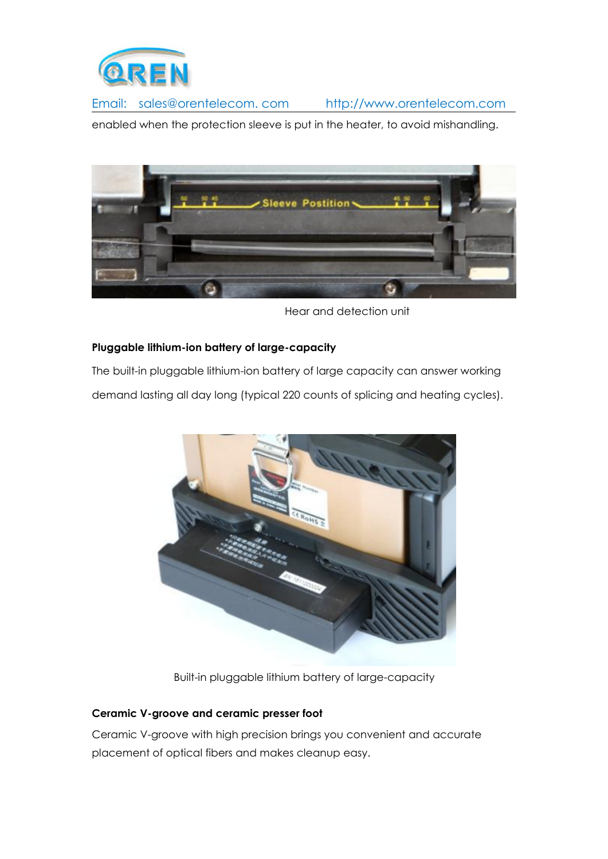

enabled when the protection sleeve is put in the heater, to avoid mishandling.



Hear and detection unit

## **Pluggable lithium-ion battery of large-capacity**

The built-in pluggable lithium-ion battery of large capacity can answer working demand lasting all day long (typical 220 counts of splicing and heating cycles).



Built-in pluggable lithium battery of large-capacity

## **Ceramic V-groove and ceramic presser foot**

Ceramic V-groove with high precision brings you convenient and accurate placement of optical fibers and makes cleanup easy.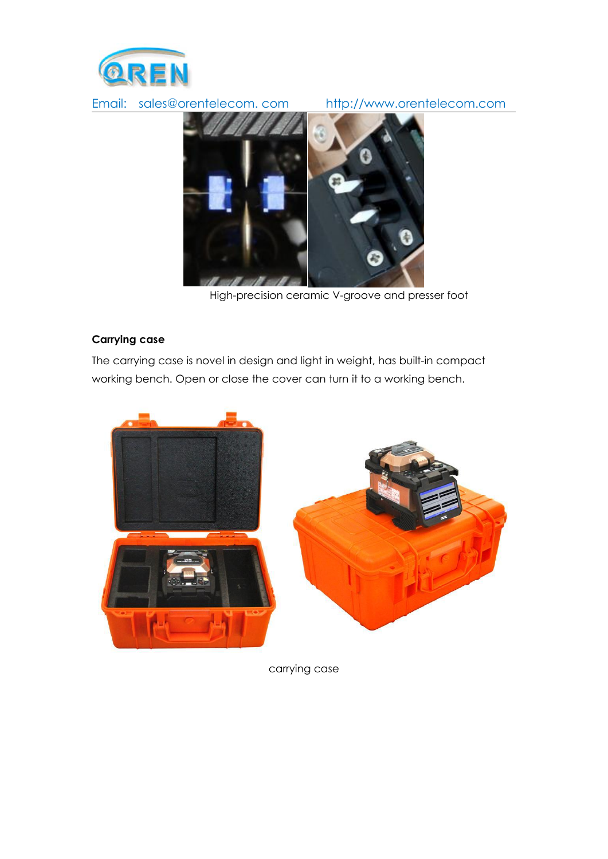



High-precision ceramic V-groove and presser foot

#### **Carrying case**

The carrying case is novel in design and light in weight, has built-in compact working bench. Open or close the cover can turn it to a working bench.



carrying case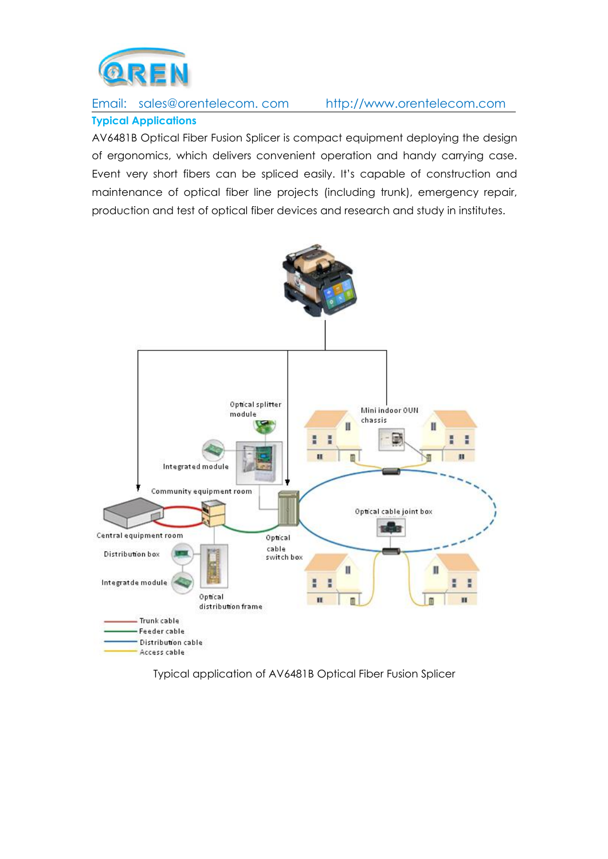![](_page_5_Picture_0.jpeg)

## Email: sales@orentelecom. com [http://www.orentelecom.com](http://www.oren-electric.com) **Typical Applications**

AV6481B Optical Fiber Fusion Splicer is compact equipment deploying the design of ergonomics, which delivers convenient operation and handy carrying case. Event very short fibers can be spliced easily. It's capable of construction and maintenance of optical fiber line projects (including trunk), emergency repair, production and test of optical fiber devices and research and study in institutes.

![](_page_5_Figure_4.jpeg)

Typical application of AV6481B Optical Fiber Fusion Splicer